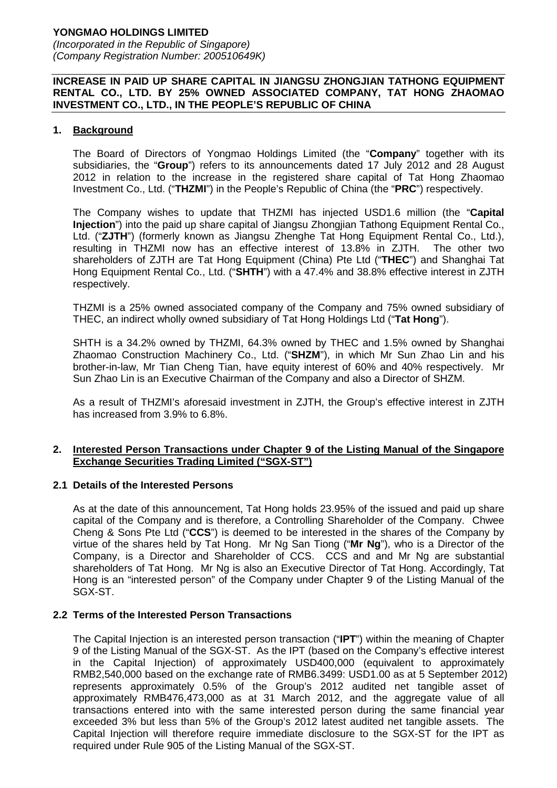# **YONGMAO HOLDINGS LIMITED**

(Incorporated in the Republic of Singapore) (Company Registration Number: 200510649K)

#### **INCREASE IN PAID UP SHARE CAPITAL IN JIANGSU ZHONGJIAN TATHONG EQUIPMENT RENTAL CO., LTD. BY 25% OWNED ASSOCIATED COMPANY, TAT HONG ZHAOMAO INVESTMENT CO., LTD., IN THE PEOPLE'S REPUBLIC OF CHINA**

#### **1. Background**

The Board of Directors of Yongmao Holdings Limited (the "**Company**" together with its subsidiaries, the "**Group**") refers to its announcements dated 17 July 2012 and 28 August 2012 in relation to the increase in the registered share capital of Tat Hong Zhaomao Investment Co., Ltd. ("**THZMI**") in the People's Republic of China (the "**PRC**") respectively.

The Company wishes to update that THZMI has injected USD1.6 million (the "**Capital Injection**") into the paid up share capital of Jiangsu Zhongjian Tathong Equipment Rental Co., Ltd. ("**ZJTH**") (formerly known as Jiangsu Zhenghe Tat Hong Equipment Rental Co., Ltd.), resulting in THZMI now has an effective interest of 13.8% in ZJTH. The other two shareholders of ZJTH are Tat Hong Equipment (China) Pte Ltd ("**THEC**") and Shanghai Tat Hong Equipment Rental Co., Ltd. ("**SHTH**") with a 47.4% and 38.8% effective interest in ZJTH respectively.

THZMI is a 25% owned associated company of the Company and 75% owned subsidiary of THEC, an indirect wholly owned subsidiary of Tat Hong Holdings Ltd ("**Tat Hong**").

SHTH is a 34.2% owned by THZMI, 64.3% owned by THEC and 1.5% owned by Shanghai Zhaomao Construction Machinery Co., Ltd. ("**SHZM**"), in which Mr Sun Zhao Lin and his brother-in-law, Mr Tian Cheng Tian, have equity interest of 60% and 40% respectively. Mr Sun Zhao Lin is an Executive Chairman of the Company and also a Director of SHZM.

 As a result of THZMI's aforesaid investment in ZJTH, the Group's effective interest in ZJTH has increased from 3.9% to 6.8%.

#### **2. Interested Person Transactions under Chapter 9 of the Listing Manual of the Singapore Exchange Securities Trading Limited ("SGX-ST")**

#### **2.1 Details of the Interested Persons**

 As at the date of this announcement, Tat Hong holds 23.95% of the issued and paid up share capital of the Company and is therefore, a Controlling Shareholder of the Company. Chwee Cheng & Sons Pte Ltd ("**CCS**") is deemed to be interested in the shares of the Company by virtue of the shares held by Tat Hong. Mr Ng San Tiong ("**Mr Ng**"), who is a Director of the Company, is a Director and Shareholder of CCS. CCS and and Mr Ng are substantial shareholders of Tat Hong. Mr Ng is also an Executive Director of Tat Hong. Accordingly, Tat Hong is an "interested person" of the Company under Chapter 9 of the Listing Manual of the SGX-ST.

#### **2.2 Terms of the Interested Person Transactions**

 The Capital Injection is an interested person transaction ("**IPT**") within the meaning of Chapter 9 of the Listing Manual of the SGX-ST. As the IPT (based on the Company's effective interest in the Capital Injection) of approximately USD400,000 (equivalent to approximately RMB2,540,000 based on the exchange rate of RMB6.3499: USD1.00 as at 5 September 2012) represents approximately 0.5% of the Group's 2012 audited net tangible asset of approximately RMB476,473,000 as at 31 March 2012, and the aggregate value of all transactions entered into with the same interested person during the same financial year exceeded 3% but less than 5% of the Group's 2012 latest audited net tangible assets. The Capital Injection will therefore require immediate disclosure to the SGX-ST for the IPT as required under Rule 905 of the Listing Manual of the SGX-ST.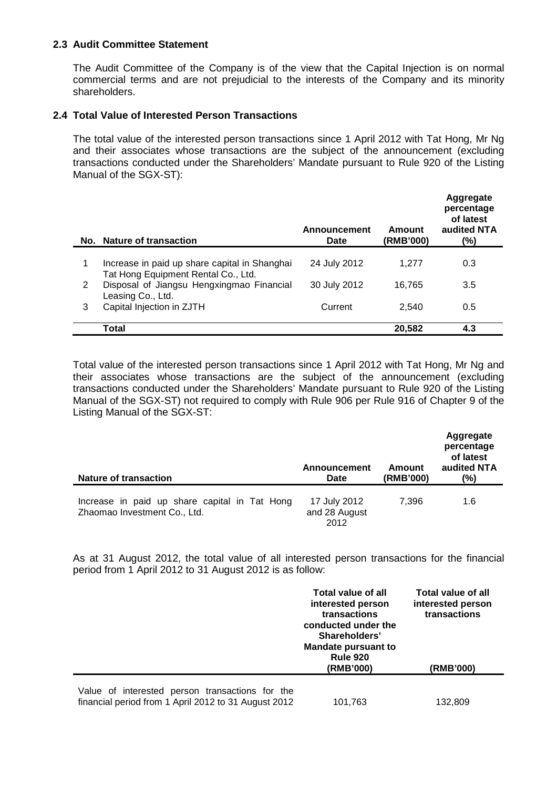### **2.3 Audit Committee Statement**

 The Audit Committee of the Company is of the view that the Capital Injection is on normal commercial terms and are not prejudicial to the interests of the Company and its minority shareholders.

### **2.4 Total Value of Interested Person Transactions**

 The total value of the interested person transactions since 1 April 2012 with Tat Hong, Mr Ng and their associates whose transactions are the subject of the announcement (excluding transactions conducted under the Shareholders' Mandate pursuant to Rule 920 of the Listing Manual of the SGX-ST):

|   | No. Nature of transaction                                                            | <b>Announcement</b><br>Date | Amount<br>(RMB'000) | Aggregate<br>percentage<br>of latest<br>audited NTA<br>(%) |
|---|--------------------------------------------------------------------------------------|-----------------------------|---------------------|------------------------------------------------------------|
|   |                                                                                      |                             |                     |                                                            |
| 1 | Increase in paid up share capital in Shanghai<br>Tat Hong Equipment Rental Co., Ltd. | 24 July 2012                | 1.277               | 0.3                                                        |
| 2 | Disposal of Jiangsu Hengxingmao Financial<br>Leasing Co., Ltd.                       | 30 July 2012                | 16,765              | 3.5                                                        |
| 3 | Capital Injection in ZJTH                                                            | Current                     | 2,540               | 0.5                                                        |
|   | Total                                                                                |                             | 20,582              | 4.3                                                        |

 Total value of the interested person transactions since 1 April 2012 with Tat Hong, Mr Ng and their associates whose transactions are the subject of the announcement (excluding transactions conducted under the Shareholders' Mandate pursuant to Rule 920 of the Listing Manual of the SGX-ST) not required to comply with Rule 906 per Rule 916 of Chapter 9 of the Listing Manual of the SGX-ST:

| <b>Nature of transaction</b>                                                  | Announcement<br>Date                  | Amount<br>(RMB'000) | Aggregate<br>percentage<br>of latest<br>audited NTA<br>(%) |
|-------------------------------------------------------------------------------|---------------------------------------|---------------------|------------------------------------------------------------|
| Increase in paid up share capital in Tat Hong<br>Zhaomao Investment Co., Ltd. | 17 July 2012<br>and 28 August<br>2012 | 7.396               | 1.6                                                        |

 As at 31 August 2012, the total value of all interested person transactions for the financial period from 1 April 2012 to 31 August 2012 is as follow:

|                                                                                                         | <b>Total value of all</b><br>interested person<br>transactions<br>conducted under the<br>Shareholders'<br><b>Mandate pursuant to</b><br><b>Rule 920</b><br>(RMB'000) | Total value of all<br>interested person<br>transactions<br>(RMB'000) |
|---------------------------------------------------------------------------------------------------------|----------------------------------------------------------------------------------------------------------------------------------------------------------------------|----------------------------------------------------------------------|
| Value of interested person transactions for the<br>financial period from 1 April 2012 to 31 August 2012 | 101,763                                                                                                                                                              | 132,809                                                              |